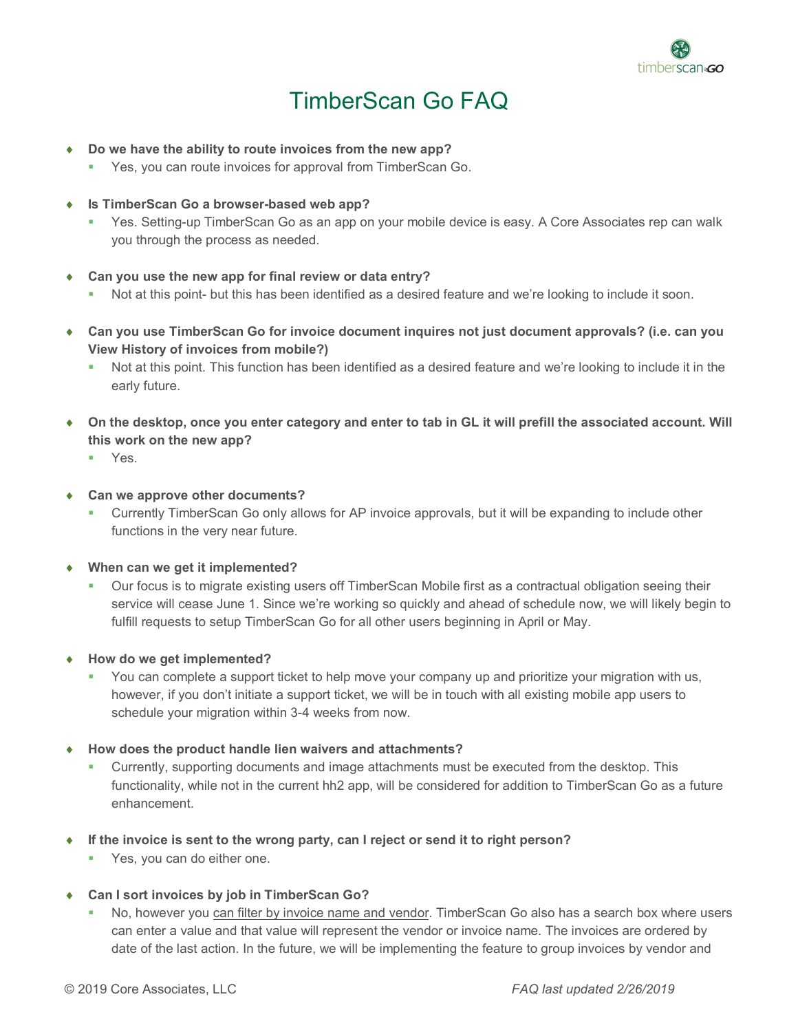

## TimberScan Go FAQ

- ♦ **Do we have the ability to route invoices from the new app?**
	- **Yes, you can route invoices for approval from TimberScan Go.**
- ♦ **Is TimberScan Go a browser-based web app?**
	- Yes. Setting-up TimberScan Go as an app on your mobile device is easy. A Core Associates rep can walk you through the process as needed.
- ♦ **Can you use the new app for final review or data entry?**
	- Not at this point- but this has been identified as a desired feature and we're looking to include it soon.
- ♦ **Can you use TimberScan Go for invoice document inquires not just document approvals? (i.e. can you View History of invoices from mobile?)**
	- Not at this point. This function has been identified as a desired feature and we're looking to include it in the early future.
- ♦ **On the desktop, once you enter category and enter to tab in GL it will prefill the associated account. Will this work on the new app?**
	- Yes.
- **Can we approve other documents?** 
	- Currently TimberScan Go only allows for AP invoice approvals, but it will be expanding to include other functions in the very near future.
- ♦ **When can we get it implemented?**
	- Our focus is to migrate existing users off TimberScan Mobile first as a contractual obligation seeing their service will cease June 1. Since we're working so quickly and ahead of schedule now, we will likely begin to fulfill requests to setup TimberScan Go for all other users beginning in April or May.
- ♦ **How do we get implemented?**
	- You can complete a support ticket to help move your company up and prioritize your migration with us, however, if you don't initiate a support ticket, we will be in touch with all existing mobile app users to schedule your migration within 3-4 weeks from now.
- ♦ **How does the product handle lien waivers and attachments?**
	- Currently, supporting documents and image attachments must be executed from the desktop. This functionality, while not in the current hh2 app, will be considered for addition to TimberScan Go as a future enhancement.
- ♦ **If the invoice is sent to the wrong party, can I reject or send it to right person?**
	- **Yes, you can do either one.**
- ♦ **Can I sort invoices by job in TimberScan Go?**
	- No, however you can filter by invoice name and vendor. TimberScan Go also has a search box where users can enter a value and that value will represent the vendor or invoice name. The invoices are ordered by date of the last action. In the future, we will be implementing the feature to group invoices by vendor and